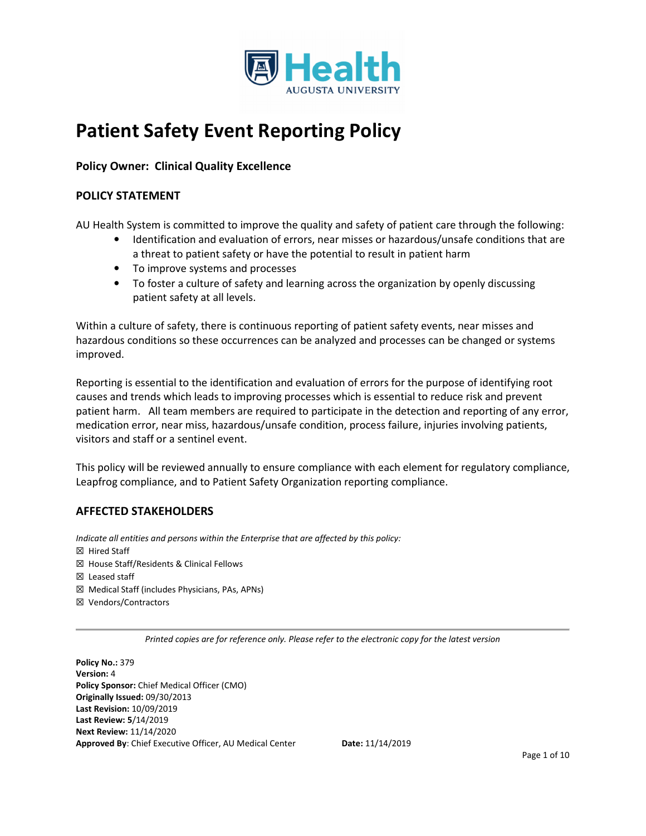

# **Patient Safety Event Reporting Policy**

# **Policy Owner: Clinical Quality Excellence**

# **POLICY STATEMENT**

AU Health System is committed to improve the quality and safety of patient care through the following:

- Identification and evaluation of errors, near misses or hazardous/unsafe conditions that are a threat to patient safety or have the potential to result in patient harm
- To improve systems and processes
- To foster a culture of safety and learning across the organization by openly discussing patient safety at all levels.

Within a culture of safety, there is continuous reporting of patient safety events, near misses and hazardous conditions so these occurrences can be analyzed and processes can be changed or systems improved.

Reporting is essential to the identification and evaluation of errors for the purpose of identifying root causes and trends which leads to improving processes which is essential to reduce risk and prevent patient harm. All team members are required to participate in the detection and reporting of any error, medication error, near miss, hazardous/unsafe condition, process failure, injuries involving patients, visitors and staff or a sentinel event.

This policy will be reviewed annually to ensure compliance with each element for regulatory compliance, Leapfrog compliance, and to Patient Safety Organization reporting compliance.

# **AFFECTED STAKEHOLDERS**

*Indicate all entities and persons within the Enterprise that are affected by this policy:*  ☒ Hired Staff ☒ House Staff/Residents & Clinical Fellows ☒ Leased staff ☒ Medical Staff (includes Physicians, PAs, APNs) ☒ Vendors/Contractors

*Printed copies are for reference only. Please refer to the electronic copy for the latest version* 

**Policy No.:** 379 **Version:** 4 **Policy Sponsor:** Chief Medical Officer (CMO) **Originally Issued:** 09/30/2013 **Last Revision:** 10/09/2019 **Last Review: 5**/14/2019 **Next Review:** 11/14/2020 **Approved By**: Chief Executive Officer, AU Medical Center **Date:** 11/14/2019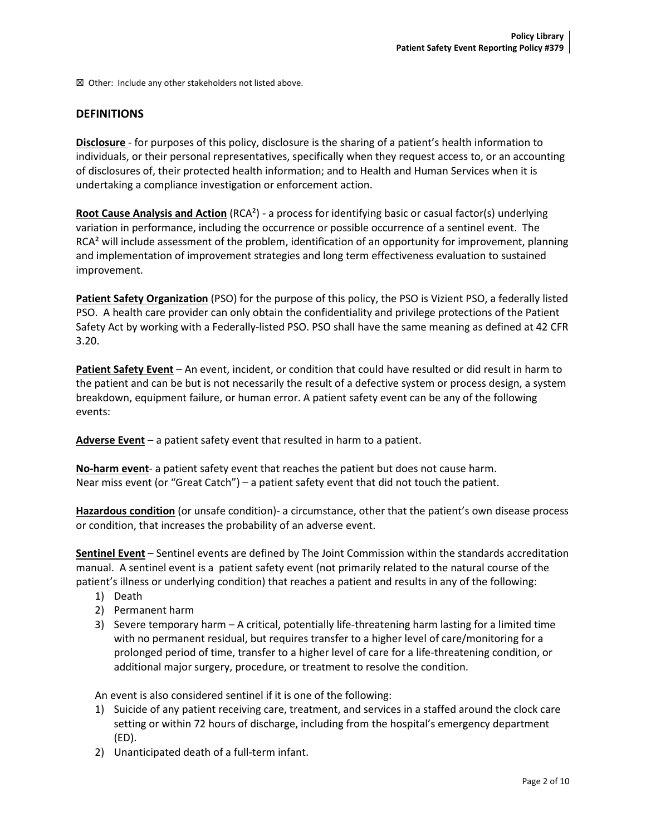☒ Other:Include any other stakeholders not listed above.

## **DEFINITIONS**

**Disclosure** - for purposes of this policy, disclosure is the sharing of a patient's health information to individuals, or their personal representatives, specifically when they request access to, or an accounting of disclosures of, their protected health information; and to Health and Human Services when it is undertaking a compliance investigation or enforcement action.

**Root Cause Analysis and Action** (RCA²) - a process for identifying basic or casual factor(s) underlying variation in performance, including the occurrence or possible occurrence of a sentinel event. The RCA<sup>2</sup> will include assessment of the problem, identification of an opportunity for improvement, planning and implementation of improvement strategies and long term effectiveness evaluation to sustained improvement.

**Patient Safety Organization** (PSO) for the purpose of this policy, the PSO is Vizient PSO, a federally listed PSO. A health care provider can only obtain the confidentiality and privilege protections of the Patient Safety Act by working with a Federally-listed PSO. PSO shall have the same meaning as defined at 42 CFR 3.20.

**Patient Safety Event** – An event, incident, or condition that could have resulted or did result in harm to the patient and can be but is not necessarily the result of a defective system or process design, a system breakdown, equipment failure, or human error. A patient safety event can be any of the following events:

**Adverse Event** – a patient safety event that resulted in harm to a patient.

**No-harm event**- a patient safety event that reaches the patient but does not cause harm. Near miss event (or "Great Catch") – a patient safety event that did not touch the patient.

**Hazardous condition** (or unsafe condition)- a circumstance, other that the patient's own disease process or condition, that increases the probability of an adverse event.

**Sentinel Event** – Sentinel events are defined by The Joint Commission within the standards accreditation manual. A sentinel event is a patient safety event (not primarily related to the natural course of the patient's illness or underlying condition) that reaches a patient and results in any of the following:

- 1) Death
- 2) Permanent harm
- 3) Severe temporary harm A critical, potentially life-threatening harm lasting for a limited time with no permanent residual, but requires transfer to a higher level of care/monitoring for a prolonged period of time, transfer to a higher level of care for a life-threatening condition, or additional major surgery, procedure, or treatment to resolve the condition.

An event is also considered sentinel if it is one of the following:

- 1) Suicide of any patient receiving care, treatment, and services in a staffed around the clock care setting or within 72 hours of discharge, including from the hospital's emergency department (ED).
- 2) Unanticipated death of a full-term infant.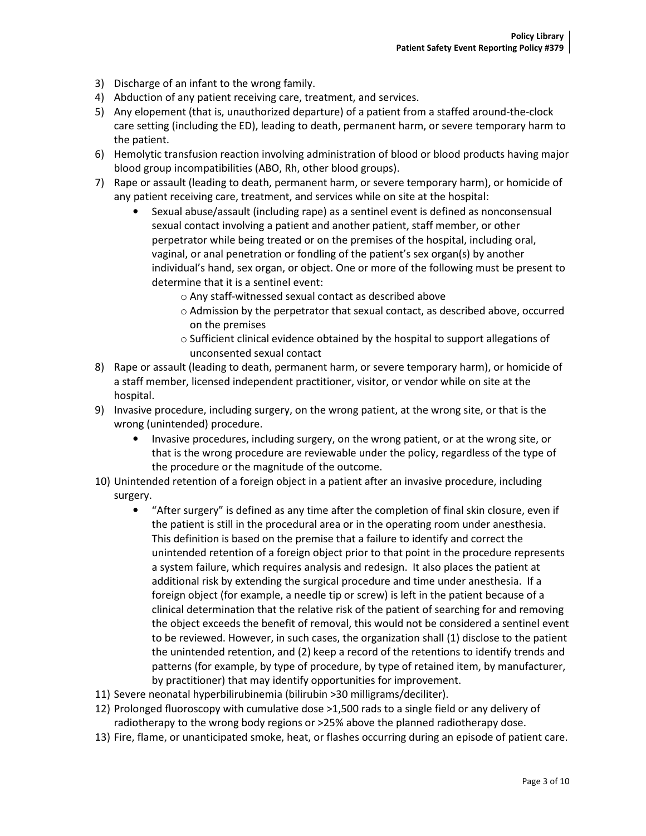- 3) Discharge of an infant to the wrong family.
- 4) Abduction of any patient receiving care, treatment, and services.
- 5) Any elopement (that is, unauthorized departure) of a patient from a staffed around-the-clock care setting (including the ED), leading to death, permanent harm, or severe temporary harm to the patient.
- 6) Hemolytic transfusion reaction involving administration of blood or blood products having major blood group incompatibilities (ABO, Rh, other blood groups).
- 7) Rape or assault (leading to death, permanent harm, or severe temporary harm), or homicide of any patient receiving care, treatment, and services while on site at the hospital:
	- Sexual abuse/assault (including rape) as a sentinel event is defined as nonconsensual sexual contact involving a patient and another patient, staff member, or other perpetrator while being treated or on the premises of the hospital, including oral, vaginal, or anal penetration or fondling of the patient's sex organ(s) by another individual's hand, sex organ, or object. One or more of the following must be present to determine that it is a sentinel event:
		- o Any staff-witnessed sexual contact as described above
		- o Admission by the perpetrator that sexual contact, as described above, occurred on the premises
		- $\circ$  Sufficient clinical evidence obtained by the hospital to support allegations of unconsented sexual contact
- 8) Rape or assault (leading to death, permanent harm, or severe temporary harm), or homicide of a staff member, licensed independent practitioner, visitor, or vendor while on site at the hospital.
- 9) Invasive procedure, including surgery, on the wrong patient, at the wrong site, or that is the wrong (unintended) procedure.
	- Invasive procedures, including surgery, on the wrong patient, or at the wrong site, or that is the wrong procedure are reviewable under the policy, regardless of the type of the procedure or the magnitude of the outcome.
- 10) Unintended retention of a foreign object in a patient after an invasive procedure, including surgery.
	- "After surgery" is defined as any time after the completion of final skin closure, even if the patient is still in the procedural area or in the operating room under anesthesia. This definition is based on the premise that a failure to identify and correct the unintended retention of a foreign object prior to that point in the procedure represents a system failure, which requires analysis and redesign. It also places the patient at additional risk by extending the surgical procedure and time under anesthesia. If a foreign object (for example, a needle tip or screw) is left in the patient because of a clinical determination that the relative risk of the patient of searching for and removing the object exceeds the benefit of removal, this would not be considered a sentinel event to be reviewed. However, in such cases, the organization shall (1) disclose to the patient the unintended retention, and (2) keep a record of the retentions to identify trends and patterns (for example, by type of procedure, by type of retained item, by manufacturer, by practitioner) that may identify opportunities for improvement.
- 11) Severe neonatal hyperbilirubinemia (bilirubin >30 milligrams/deciliter).
- 12) Prolonged fluoroscopy with cumulative dose >1,500 rads to a single field or any delivery of radiotherapy to the wrong body regions or >25% above the planned radiotherapy dose.
- 13) Fire, flame, or unanticipated smoke, heat, or flashes occurring during an episode of patient care.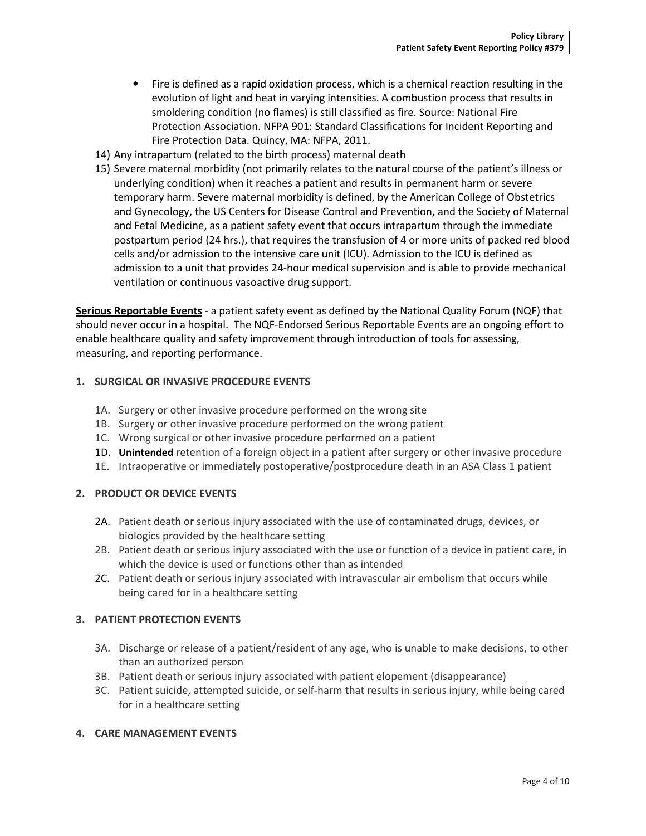- Fire is defined as a rapid oxidation process, which is a chemical reaction resulting in the evolution of light and heat in varying intensities. A combustion process that results in smoldering condition (no flames) is still classified as fire. Source: National Fire Protection Association. NFPA 901: Standard Classifications for Incident Reporting and Fire Protection Data. Quincy, MA: NFPA, 2011.
- 14) Any intrapartum (related to the birth process) maternal death
- 15) Severe maternal morbidity (not primarily relates to the natural course of the patient's illness or underlying condition) when it reaches a patient and results in permanent harm or severe temporary harm. Severe maternal morbidity is defined, by the American College of Obstetrics and Gynecology, the US Centers for Disease Control and Prevention, and the Society of Maternal and Fetal Medicine, as a patient safety event that occurs intrapartum through the immediate postpartum period (24 hrs.), that requires the transfusion of 4 or more units of packed red blood cells and/or admission to the intensive care unit (ICU). Admission to the ICU is defined as admission to a unit that provides 24-hour medical supervision and is able to provide mechanical ventilation or continuous vasoactive drug support.

**Serious Reportable Events** - a patient safety event as defined by the National Quality Forum (NQF) that should never occur in a hospital. The NQF-Endorsed Serious Reportable Events are an ongoing effort to enable healthcare quality and safety improvement through introduction of tools for assessing, measuring, and reporting performance.

#### **1. SURGICAL OR INVASIVE PROCEDURE EVENTS**

- 1A. Surgery or other invasive procedure performed on the wrong site
- 1B. Surgery or other invasive procedure performed on the wrong patient
- 1C. Wrong surgical or other invasive procedure performed on a patient
- 1D. **Unintended** retention of a foreign object in a patient after surgery or other invasive procedure
- 1E. Intraoperative or immediately postoperative/postprocedure death in an ASA Class 1 patient

#### **2. PRODUCT OR DEVICE EVENTS**

- 2A. Patient death or serious injury associated with the use of contaminated drugs, devices, or biologics provided by the healthcare setting
- 2B. Patient death or serious injury associated with the use or function of a device in patient care, in which the device is used or functions other than as intended
- 2C. Patient death or serious injury associated with intravascular air embolism that occurs while being cared for in a healthcare setting

#### **3. PATIENT PROTECTION EVENTS**

- 3A. Discharge or release of a patient/resident of any age, who is unable to make decisions, to other than an authorized person
- 3B. Patient death or serious injury associated with patient elopement (disappearance)
- 3C. Patient suicide, attempted suicide, or self-harm that results in serious injury, while being cared for in a healthcare setting

#### **4. CARE MANAGEMENT EVENTS**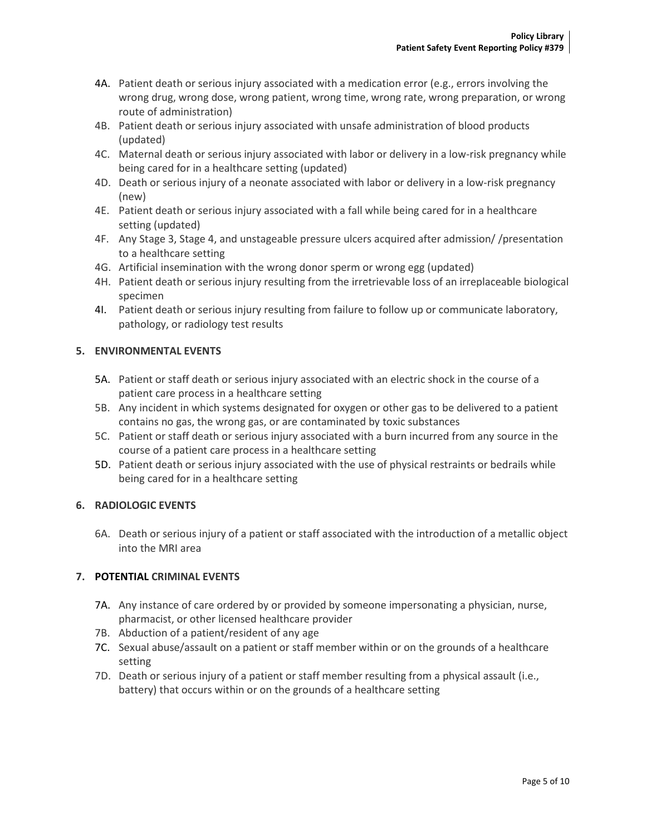- 4A. Patient death or serious injury associated with a medication error (e.g., errors involving the wrong drug, wrong dose, wrong patient, wrong time, wrong rate, wrong preparation, or wrong route of administration)
- 4B. Patient death or serious injury associated with unsafe administration of blood products (updated)
- 4C. Maternal death or serious injury associated with labor or delivery in a low-risk pregnancy while being cared for in a healthcare setting (updated)
- 4D. Death or serious injury of a neonate associated with labor or delivery in a low-risk pregnancy (new)
- 4E. Patient death or serious injury associated with a fall while being cared for in a healthcare setting (updated)
- 4F. Any Stage 3, Stage 4, and unstageable pressure ulcers acquired after admission/ /presentation to a healthcare setting
- 4G. Artificial insemination with the wrong donor sperm or wrong egg (updated)
- 4H. Patient death or serious injury resulting from the irretrievable loss of an irreplaceable biological specimen
- 4I. Patient death or serious injury resulting from failure to follow up or communicate laboratory, pathology, or radiology test results

# **5. ENVIRONMENTAL EVENTS**

- 5A. Patient or staff death or serious injury associated with an electric shock in the course of a patient care process in a healthcare setting
- 5B. Any incident in which systems designated for oxygen or other gas to be delivered to a patient contains no gas, the wrong gas, or are contaminated by toxic substances
- 5C. Patient or staff death or serious injury associated with a burn incurred from any source in the course of a patient care process in a healthcare setting
- 5D. Patient death or serious injury associated with the use of physical restraints or bedrails while being cared for in a healthcare setting

## **6. RADIOLOGIC EVENTS**

6A. Death or serious injury of a patient or staff associated with the introduction of a metallic object into the MRI area

## **7. POTENTIAL CRIMINAL EVENTS**

- 7A. Any instance of care ordered by or provided by someone impersonating a physician, nurse, pharmacist, or other licensed healthcare provider
- 7B. Abduction of a patient/resident of any age
- 7C. Sexual abuse/assault on a patient or staff member within or on the grounds of a healthcare setting
- 7D. Death or serious injury of a patient or staff member resulting from a physical assault (i.e., battery) that occurs within or on the grounds of a healthcare setting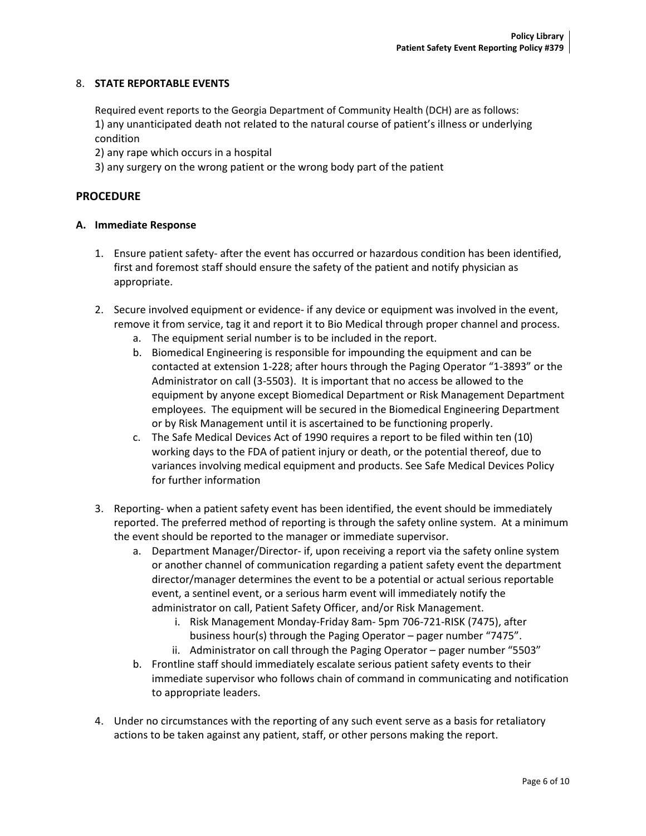#### 8. **STATE REPORTABLE EVENTS**

Required event reports to the Georgia Department of Community Health (DCH) are as follows: 1) any unanticipated death not related to the natural course of patient's illness or underlying condition

2) any rape which occurs in a hospital

3) any surgery on the wrong patient or the wrong body part of the patient

#### **PROCEDURE**

#### **A. Immediate Response**

- 1. Ensure patient safety- after the event has occurred or hazardous condition has been identified, first and foremost staff should ensure the safety of the patient and notify physician as appropriate.
- 2. Secure involved equipment or evidence- if any device or equipment was involved in the event, remove it from service, tag it and report it to Bio Medical through proper channel and process.
	- a. The equipment serial number is to be included in the report.
	- b. Biomedical Engineering is responsible for impounding the equipment and can be contacted at extension 1-228; after hours through the Paging Operator "1-3893" or the Administrator on call (3-5503). It is important that no access be allowed to the equipment by anyone except Biomedical Department or Risk Management Department employees. The equipment will be secured in the Biomedical Engineering Department or by Risk Management until it is ascertained to be functioning properly.
	- c. The Safe Medical Devices Act of 1990 requires a report to be filed within ten (10) working days to the FDA of patient injury or death, or the potential thereof, due to variances involving medical equipment and products. See Safe Medical Devices Policy for further information
- 3. Reporting- when a patient safety event has been identified, the event should be immediately reported. The preferred method of reporting is through the safety online system. At a minimum the event should be reported to the manager or immediate supervisor.
	- a. Department Manager/Director- if, upon receiving a report via the safety online system or another channel of communication regarding a patient safety event the department director/manager determines the event to be a potential or actual serious reportable event, a sentinel event, or a serious harm event will immediately notify the administrator on call, Patient Safety Officer, and/or Risk Management.
		- i. Risk Management Monday-Friday 8am- 5pm 706-721-RISK (7475), after business hour(s) through the Paging Operator – pager number "7475".
		- ii. Administrator on call through the Paging Operator pager number "5503"
	- b. Frontline staff should immediately escalate serious patient safety events to their immediate supervisor who follows chain of command in communicating and notification to appropriate leaders.
- 4. Under no circumstances with the reporting of any such event serve as a basis for retaliatory actions to be taken against any patient, staff, or other persons making the report.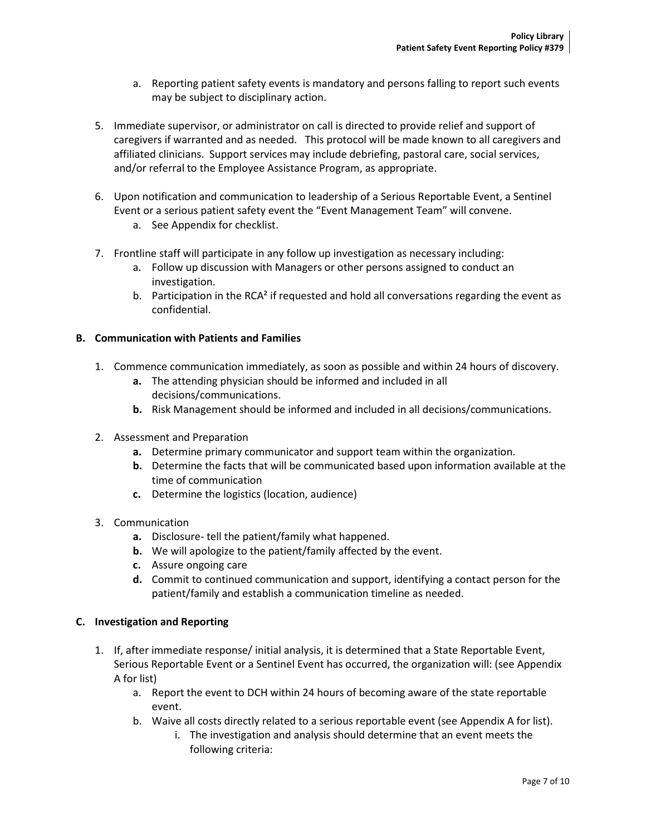- a. Reporting patient safety events is mandatory and persons falling to report such events may be subject to disciplinary action.
- 5. Immediate supervisor, or administrator on call is directed to provide relief and support of caregivers if warranted and as needed. This protocol will be made known to all caregivers and affiliated clinicians. Support services may include debriefing, pastoral care, social services, and/or referral to the Employee Assistance Program, as appropriate.
- 6. Upon notification and communication to leadership of a Serious Reportable Event, a Sentinel Event or a serious patient safety event the "Event Management Team" will convene.
	- a. See Appendix for checklist.
- 7. Frontline staff will participate in any follow up investigation as necessary including:
	- a. Follow up discussion with Managers or other persons assigned to conduct an investigation.
	- b. Participation in the RCA<sup>2</sup> if requested and hold all conversations regarding the event as confidential.

## **B. Communication with Patients and Families**

- 1. Commence communication immediately, as soon as possible and within 24 hours of discovery.
	- **a.** The attending physician should be informed and included in all decisions/communications.
	- **b.** Risk Management should be informed and included in all decisions/communications.
- 2. Assessment and Preparation
	- **a.** Determine primary communicator and support team within the organization.
	- **b.** Determine the facts that will be communicated based upon information available at the time of communication
	- **c.** Determine the logistics (location, audience)
- 3. Communication
	- **a.** Disclosure- tell the patient/family what happened.
	- **b.** We will apologize to the patient/family affected by the event.
	- **c.** Assure ongoing care
	- **d.** Commit to continued communication and support, identifying a contact person for the patient/family and establish a communication timeline as needed.

## **C. Investigation and Reporting**

- 1. If, after immediate response/ initial analysis, it is determined that a State Reportable Event, Serious Reportable Event or a Sentinel Event has occurred, the organization will: (see Appendix A for list)
	- a. Report the event to DCH within 24 hours of becoming aware of the state reportable event.
	- b. Waive all costs directly related to a serious reportable event (see Appendix A for list).
		- i. The investigation and analysis should determine that an event meets the following criteria: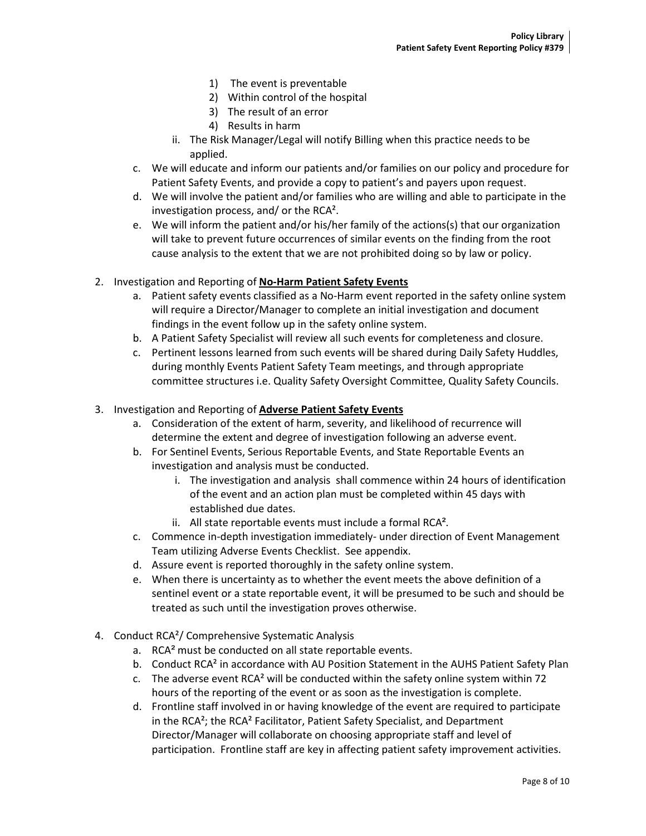- 1) The event is preventable
- 2) Within control of the hospital
- 3) The result of an error
- 4) Results in harm
- ii. The Risk Manager/Legal will notify Billing when this practice needs to be applied.
- c. We will educate and inform our patients and/or families on our policy and procedure for Patient Safety Events, and provide a copy to patient's and payers upon request.
- d. We will involve the patient and/or families who are willing and able to participate in the investigation process, and/ or the RCA².
- e. We will inform the patient and/or his/her family of the actions(s) that our organization will take to prevent future occurrences of similar events on the finding from the root cause analysis to the extent that we are not prohibited doing so by law or policy.
- 2. Investigation and Reporting of **No-Harm Patient Safety Events** 
	- a. Patient safety events classified as a No-Harm event reported in the safety online system will require a Director/Manager to complete an initial investigation and document findings in the event follow up in the safety online system.
	- b. A Patient Safety Specialist will review all such events for completeness and closure.
	- c. Pertinent lessons learned from such events will be shared during Daily Safety Huddles, during monthly Events Patient Safety Team meetings, and through appropriate committee structures i.e. Quality Safety Oversight Committee, Quality Safety Councils.
- 3. Investigation and Reporting of **Adverse Patient Safety Events**
	- a. Consideration of the extent of harm, severity, and likelihood of recurrence will determine the extent and degree of investigation following an adverse event.
	- b. For Sentinel Events, Serious Reportable Events, and State Reportable Events an investigation and analysis must be conducted.
		- i. The investigation and analysis shall commence within 24 hours of identification of the event and an action plan must be completed within 45 days with established due dates.
		- ii. All state reportable events must include a formal RCA².
	- c. Commence in-depth investigation immediately- under direction of Event Management Team utilizing Adverse Events Checklist. See appendix.
	- d. Assure event is reported thoroughly in the safety online system.
	- e. When there is uncertainty as to whether the event meets the above definition of a sentinel event or a state reportable event, it will be presumed to be such and should be treated as such until the investigation proves otherwise.
- 4. Conduct RCA<sup>2</sup>/ Comprehensive Systematic Analysis
	- a. RCA² must be conducted on all state reportable events.
	- b. Conduct RCA<sup>2</sup> in accordance with AU Position Statement in the AUHS Patient Safety Plan
	- c. The adverse event RCA² will be conducted within the safety online system within 72 hours of the reporting of the event or as soon as the investigation is complete.
	- d. Frontline staff involved in or having knowledge of the event are required to participate in the RCA²; the RCA² Facilitator, Patient Safety Specialist, and Department Director/Manager will collaborate on choosing appropriate staff and level of participation. Frontline staff are key in affecting patient safety improvement activities.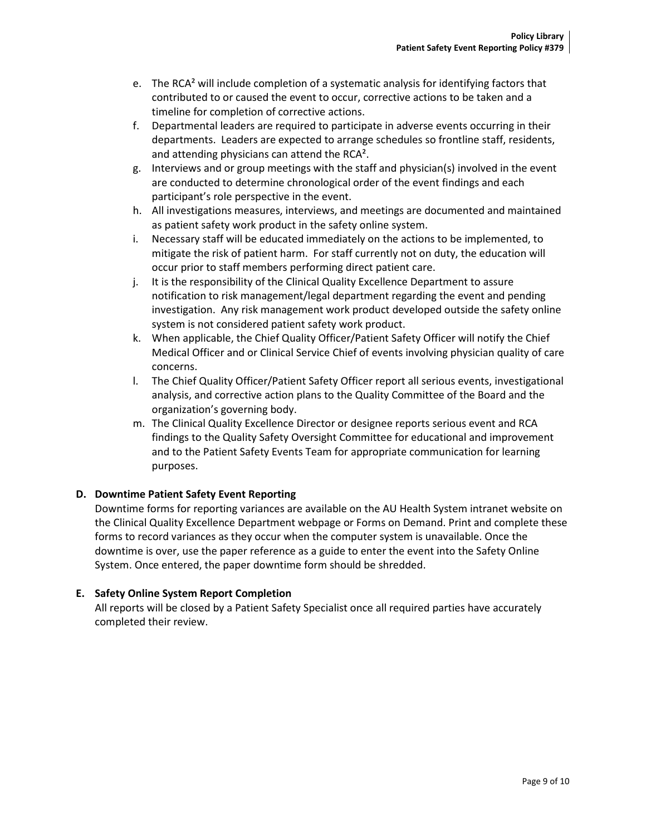- e. The RCA² will include completion of a systematic analysis for identifying factors that contributed to or caused the event to occur, corrective actions to be taken and a timeline for completion of corrective actions.
- f. Departmental leaders are required to participate in adverse events occurring in their departments. Leaders are expected to arrange schedules so frontline staff, residents, and attending physicians can attend the RCA².
- g. Interviews and or group meetings with the staff and physician(s) involved in the event are conducted to determine chronological order of the event findings and each participant's role perspective in the event.
- h. All investigations measures, interviews, and meetings are documented and maintained as patient safety work product in the safety online system.
- i. Necessary staff will be educated immediately on the actions to be implemented, to mitigate the risk of patient harm. For staff currently not on duty, the education will occur prior to staff members performing direct patient care.
- j. It is the responsibility of the Clinical Quality Excellence Department to assure notification to risk management/legal department regarding the event and pending investigation. Any risk management work product developed outside the safety online system is not considered patient safety work product.
- k. When applicable, the Chief Quality Officer/Patient Safety Officer will notify the Chief Medical Officer and or Clinical Service Chief of events involving physician quality of care concerns.
- l. The Chief Quality Officer/Patient Safety Officer report all serious events, investigational analysis, and corrective action plans to the Quality Committee of the Board and the organization's governing body.
- m. The Clinical Quality Excellence Director or designee reports serious event and RCA findings to the Quality Safety Oversight Committee for educational and improvement and to the Patient Safety Events Team for appropriate communication for learning purposes.

# **D. Downtime Patient Safety Event Reporting**

Downtime forms for reporting variances are available on the AU Health System intranet website on the Clinical Quality Excellence Department webpage or Forms on Demand. Print and complete these forms to record variances as they occur when the computer system is unavailable. Once the downtime is over, use the paper reference as a guide to enter the event into the Safety Online System. Once entered, the paper downtime form should be shredded.

# **E. Safety Online System Report Completion**

All reports will be closed by a Patient Safety Specialist once all required parties have accurately completed their review.